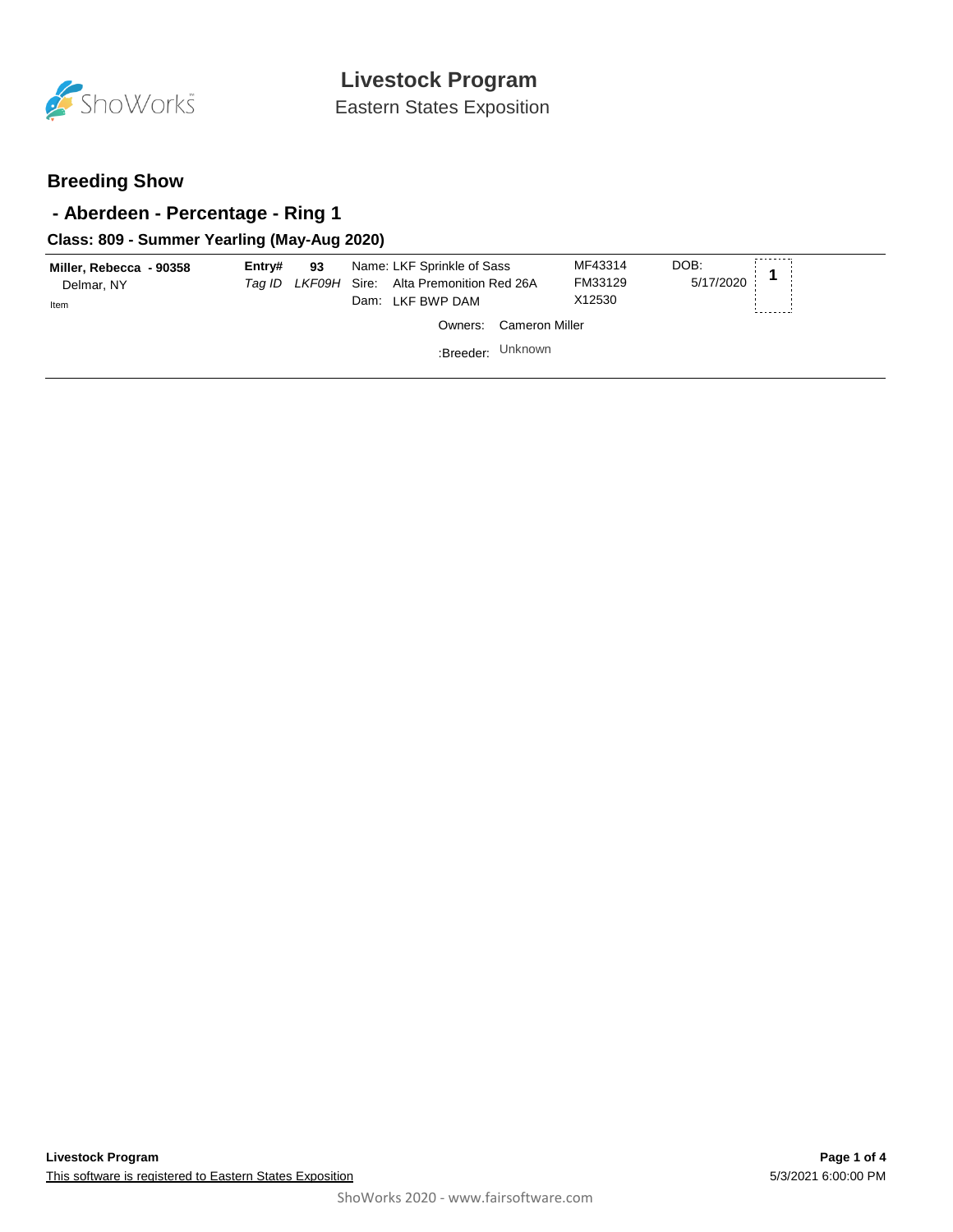

Eastern States Exposition

## **Breeding Show**

## **- Aberdeen - Percentage - Ring 1**

### **Class: 809 - Summer Yearling (May-Aug 2020)**

| Cameron Miller<br>Owners:<br>Unknown<br>:Breeder: | Miller, Rebecca - 90358<br>Delmar, NY<br>Item | Entrv# | 93 | Name: LKF Sprinkle of Sass<br>Tag ID LKF09H Sire: Alta Premonition Red 26A<br>Dam: LKF BWP DAM | MF43314<br>FM33129<br>X12530 | DOB:<br>5/17/2020 |  |
|---------------------------------------------------|-----------------------------------------------|--------|----|------------------------------------------------------------------------------------------------|------------------------------|-------------------|--|
|                                                   |                                               |        |    |                                                                                                |                              |                   |  |
|                                                   |                                               |        |    |                                                                                                |                              |                   |  |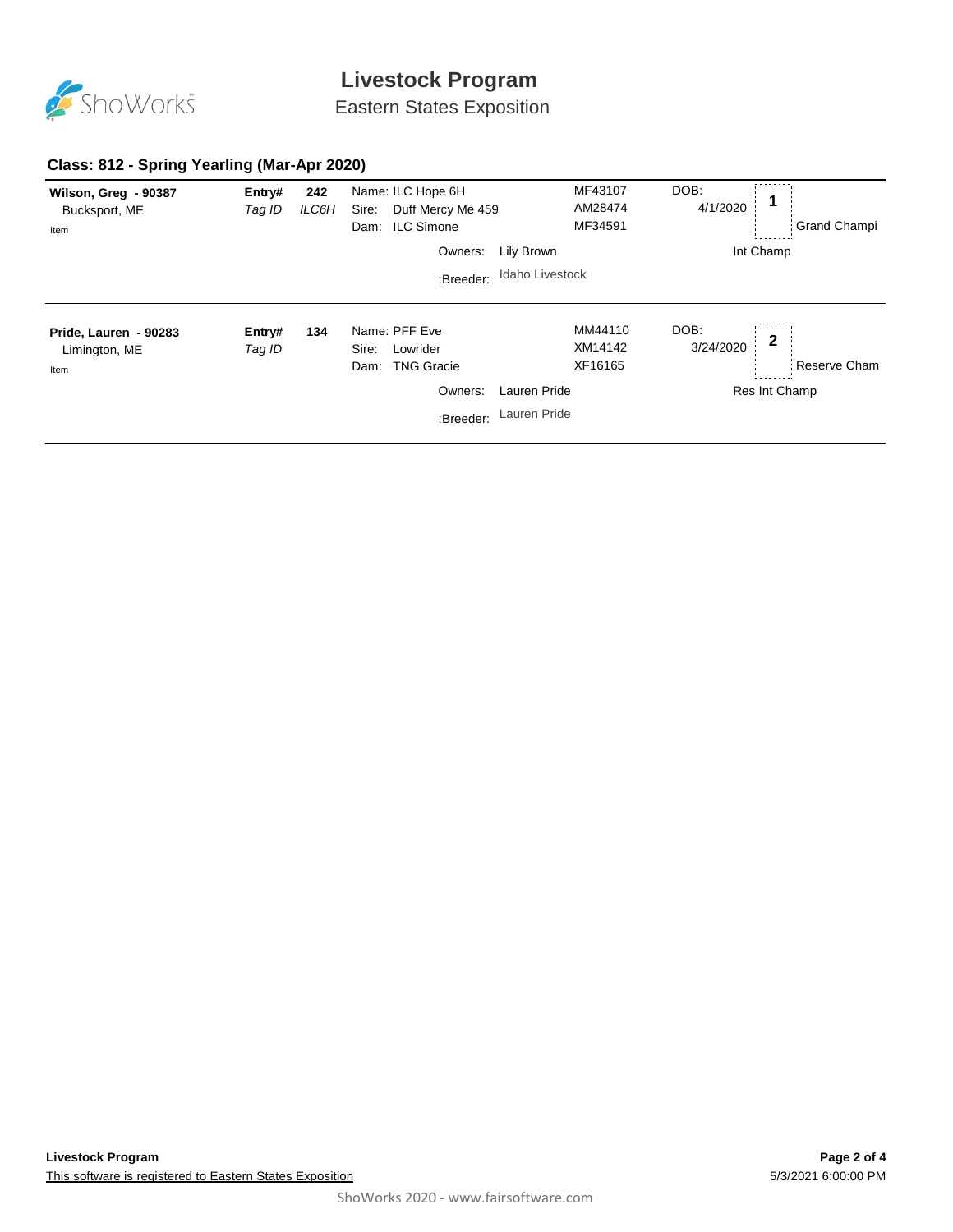

# **Livestock Program**

Eastern States Exposition

### **Class: 812 - Spring Yearling (Mar-Apr 2020)**

| Wilson, Greg - 90387<br>Bucksport, ME<br>Item  | Entry#<br>Tag ID | 242<br>ILC6H | Name: ILC Hope 6H<br>Sire:<br>Duff Mercy Me 459<br><b>ILC Simone</b><br>Dam: |                 | MF43107<br>AM28474<br>MF34591 | DOB:<br>4/1/2020  | <b>Grand Champi</b> |
|------------------------------------------------|------------------|--------------|------------------------------------------------------------------------------|-----------------|-------------------------------|-------------------|---------------------|
|                                                |                  |              | Owners:                                                                      | Lily Brown      |                               | Int Champ         |                     |
|                                                |                  |              | :Breeder:                                                                    | Idaho Livestock |                               |                   |                     |
| Pride, Lauren - 90283<br>Limington, ME<br>Item | Entry#<br>Tag ID | 134          | Name: PFF Eve<br>Lowrider<br>Sire:<br><b>TNG Gracie</b><br>Dam:              |                 | MM44110<br>XM14142<br>XF16165 | DOB:<br>3/24/2020 | 2<br>Reserve Cham   |
|                                                |                  |              | Owners:                                                                      | Lauren Pride    |                               |                   | Res Int Champ       |
|                                                |                  |              | :Breeder:                                                                    | Lauren Pride    |                               |                   |                     |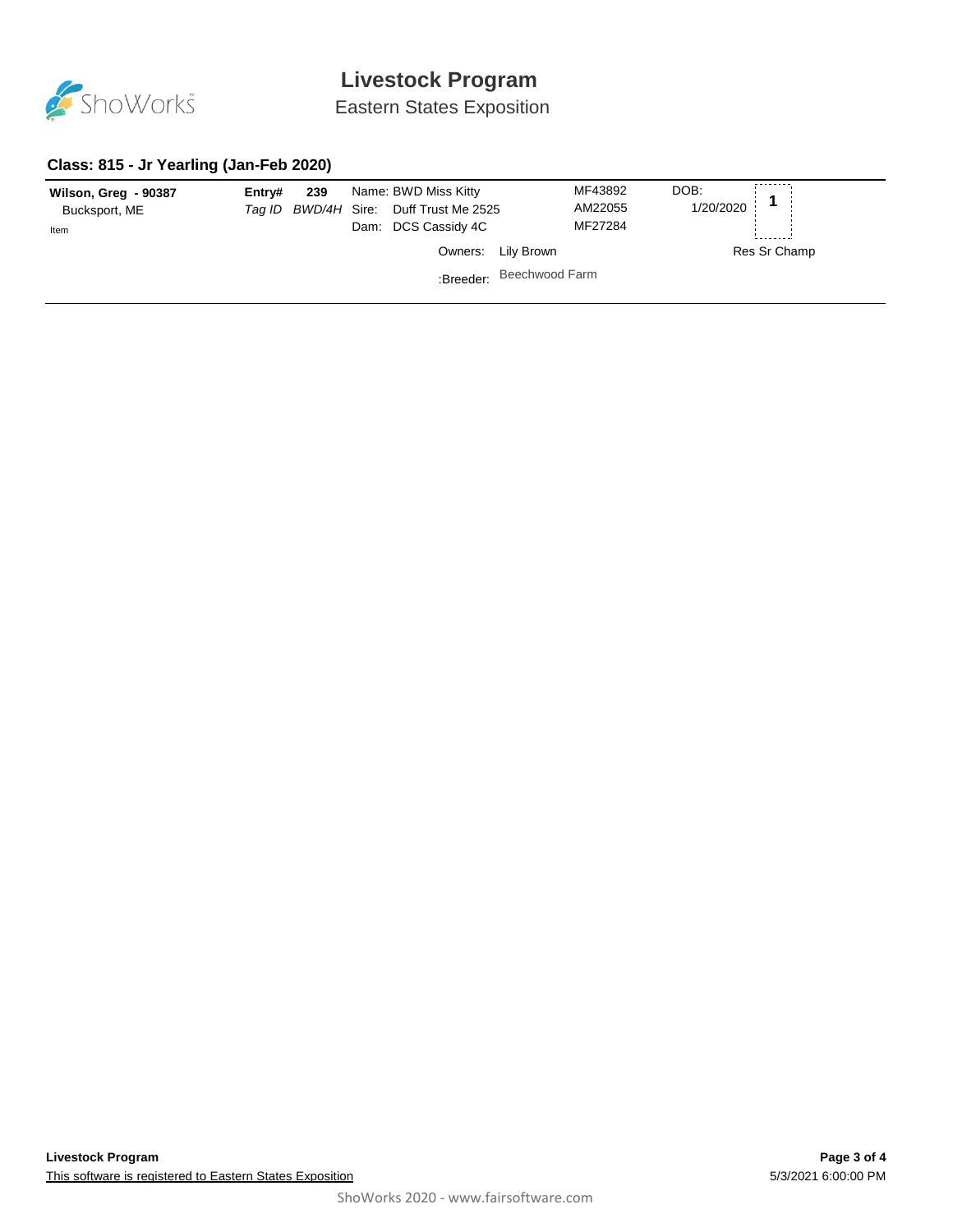

# **Livestock Program**

Eastern States Exposition

#### **Class: 815 - Jr Yearling (Jan-Feb 2020)**

| Wilson, Greg - 90387<br>Bucksport, ME<br>Item | Entrv# | 239 | Dam: | Name: BWD Miss Kitty<br>Tag ID BWD/4H Sire: Duff Trust Me 2525<br>DCS Cassidy 4C |                          | MF43892<br>AM22055<br>MF27284 | DOB:<br>1/20/2020 |              |
|-----------------------------------------------|--------|-----|------|----------------------------------------------------------------------------------|--------------------------|-------------------------------|-------------------|--------------|
|                                               |        |     |      |                                                                                  | Owners: Lily Brown       |                               |                   | Res Sr Champ |
|                                               |        |     |      |                                                                                  | :Breeder: Beechwood Farm |                               |                   |              |